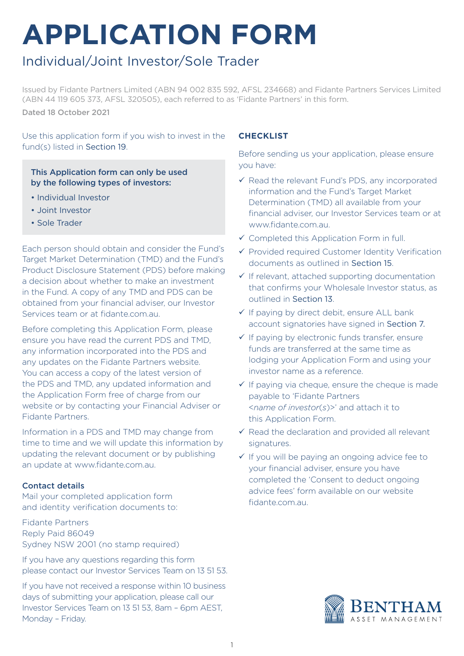# **APPLICATION FORM**

# Individual/Joint Investor/Sole Trader

Issued by Fidante Partners Limited (ABN 94 002 835 592, AFSL 234668) and Fidante Partners Services Limited (ABN 44 119 605 373, AFSL 320505), each referred to as 'Fidante Partners' in this form. Dated 18 October 2021

Use this application form if you wish to invest in the fund(s) listed in Section 19.

This Application form can only be used by the following types of investors:

- Individual Investor
- Joint Investor
- Sole Trader

Each person should obtain and consider the Fund's Target Market Determination (TMD) and the Fund's Product Disclosure Statement (PDS) before making a decision about whether to make an investment in the Fund. A copy of any TMD and PDS can be obtained from your financial adviser, our Investor Services team or at fidante.com.au.

Before completing this Application Form, please ensure you have read the current PDS and TMD, any information incorporated into the PDS and any updates on the Fidante Partners website. You can access a copy of the latest version of the PDS and TMD, any updated information and the Application Form free of charge from our website or by contacting your Financial Adviser or Fidante Partners.

Information in a PDS and TMD may change from time to time and we will update this information by updating the relevant document or by publishing an update at www.fidante.com.au.

#### Contact details

Mail your completed application form and identity verification documents to:

Fidante Partners Reply Paid 86049 Sydney NSW 2001 (no stamp required)

If you have any questions regarding this form please contact our Investor Services Team on 13 51 53.

If you have not received a response within 10 business days of submitting your application, please call our Investor Services Team on 13 51 53, 8am – 6pm AEST, Monday – Friday.

#### **CHECKLIST**

Before sending us your application, please ensure you have:

- $\checkmark$  Read the relevant Fund's PDS, any incorporated information and the Fund's Target Market Determination (TMD) all available from your financial adviser, our Investor Services team or at www.fidante.com.au.
- $\checkmark$  Completed this Application Form in full.
- $\checkmark$  Provided required Customer Identity Verification documents as outlined in Section 15.
- $\checkmark$  If relevant, attached supporting documentation that confirms your Wholesale Investor status, as outlined in Section 13.
- $\checkmark$  If paying by direct debit, ensure ALL bank account signatories have signed in Section 7.
- $\checkmark$  If paying by electronic funds transfer, ensure funds are transferred at the same time as lodging your Application Form and using your investor name as a reference.
- $\checkmark$  If paying via cheque, ensure the cheque is made payable to 'Fidante Partners <*name of investor*(*s*)>' and attach it to this Application Form.
- $\checkmark$  Read the declaration and provided all relevant signatures.
- $\checkmark$  If you will be paying an ongoing advice fee to your financial adviser, ensure you have completed the 'Consent to deduct ongoing advice fees' form available on our website fidante.com.au.

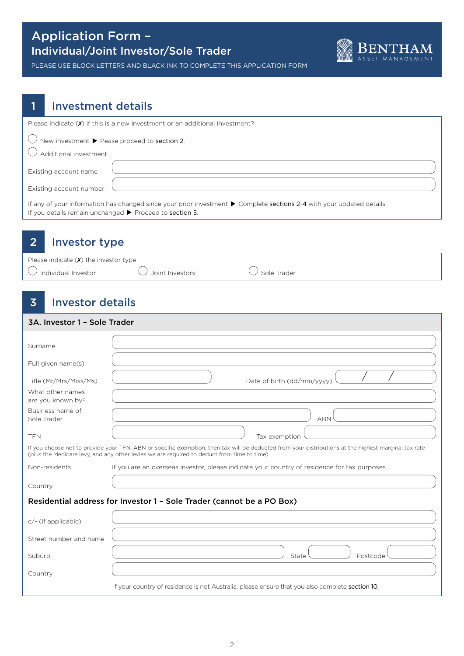

PLEASE USE BLOCK LETTERS AND BLACK INK TO COMPLETE THIS APPLICATION FORM

#### 1 Investment details

| Please indicate $(\boldsymbol{x})$ if this is a new investment or an additional investment?                                                                                       |
|-----------------------------------------------------------------------------------------------------------------------------------------------------------------------------------|
| $\bigcirc$ New investment $\blacktriangleright$ Pease proceed to section 2.<br>Additional investment.                                                                             |
| Existing account name<br>Existing account number                                                                                                                                  |
| If any of your information has changed since your prior investment to Complete sections 2-4 with your updated details.<br>If you details remain unchanged > Proceed to section 5. |

### 2 Investor type

| Please indicate $(x)$ the investor type |                   |                    |
|-----------------------------------------|-------------------|--------------------|
| $\cup$ Individual Investor              | ∪ Joint Investors | $\cup$ Sole Trader |

# 3 Investor details

| 3A. Investor 1 - Sole Trader                                          |                                                                                                                                                                                                                                                     |  |  |  |
|-----------------------------------------------------------------------|-----------------------------------------------------------------------------------------------------------------------------------------------------------------------------------------------------------------------------------------------------|--|--|--|
| Surname                                                               |                                                                                                                                                                                                                                                     |  |  |  |
| Full given name(s)                                                    |                                                                                                                                                                                                                                                     |  |  |  |
| Title (Mr/Mrs/Miss/Ms)                                                | Date of birth (dd/mm/yyyy)                                                                                                                                                                                                                          |  |  |  |
| What other names<br>are you known by?                                 |                                                                                                                                                                                                                                                     |  |  |  |
| Business name of<br>Sole Trader                                       | <b>ABN</b>                                                                                                                                                                                                                                          |  |  |  |
| <b>TFN</b>                                                            | Tax exemption                                                                                                                                                                                                                                       |  |  |  |
|                                                                       | If you choose not to provide your TFN, ABN or specific exemption, then tax will be deducted from your distributions at the highest marginal tax rate<br>(plus the Medicare levy, and any other levies we are required to deduct from time to time). |  |  |  |
| Non-residents                                                         | If you are an overseas investor, please indicate your country of residence for tax purposes.                                                                                                                                                        |  |  |  |
| Country                                                               |                                                                                                                                                                                                                                                     |  |  |  |
| Residential address for Investor 1 - Sole Trader (cannot be a PO Box) |                                                                                                                                                                                                                                                     |  |  |  |
| $c$ /- (if applicable)                                                |                                                                                                                                                                                                                                                     |  |  |  |
| Street number and name                                                |                                                                                                                                                                                                                                                     |  |  |  |
| Suburb                                                                | State<br>Postcode                                                                                                                                                                                                                                   |  |  |  |
| Country                                                               |                                                                                                                                                                                                                                                     |  |  |  |

If your country of residence is not Australia, please ensure that you also complete section 10.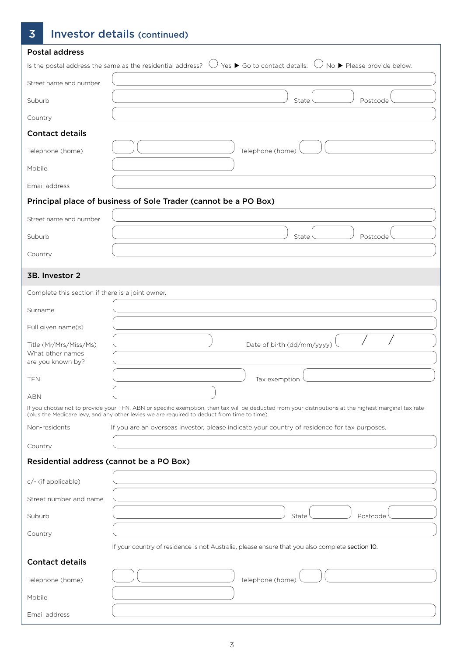# 3 Investor details (continued)

| <b>Postal address</b>                                           |                                                                                                                                                                                                                                                     |
|-----------------------------------------------------------------|-----------------------------------------------------------------------------------------------------------------------------------------------------------------------------------------------------------------------------------------------------|
|                                                                 | Is the postal address the same as the residential address? $\cup$ Yes $\blacktriangleright$ Go to contact details. $\cup$ No $\blacktriangleright$ Please provide below.                                                                            |
| Street name and number                                          |                                                                                                                                                                                                                                                     |
| Suburb                                                          | State<br>Postcode                                                                                                                                                                                                                                   |
| Country                                                         |                                                                                                                                                                                                                                                     |
| <b>Contact details</b>                                          |                                                                                                                                                                                                                                                     |
| Telephone (home)                                                | Telephone (home)                                                                                                                                                                                                                                    |
| Mobile                                                          |                                                                                                                                                                                                                                                     |
| Email address                                                   |                                                                                                                                                                                                                                                     |
|                                                                 | Principal place of business of Sole Trader (cannot be a PO Box)                                                                                                                                                                                     |
| Street name and number                                          |                                                                                                                                                                                                                                                     |
| Suburb                                                          | State<br>Postcode                                                                                                                                                                                                                                   |
| Country                                                         |                                                                                                                                                                                                                                                     |
| 3B. Investor 2                                                  |                                                                                                                                                                                                                                                     |
| Complete this section if there is a joint owner.                |                                                                                                                                                                                                                                                     |
| Surname                                                         |                                                                                                                                                                                                                                                     |
| Full given name(s)                                              |                                                                                                                                                                                                                                                     |
| Title (Mr/Mrs/Miss/Ms)<br>What other names<br>are you known by? | Date of birth (dd/mm/yyyy)                                                                                                                                                                                                                          |
| TFN                                                             | Tax exemption                                                                                                                                                                                                                                       |
| ABN                                                             |                                                                                                                                                                                                                                                     |
|                                                                 | If you choose not to provide your TFN, ABN or specific exemption, then tax will be deducted from your distributions at the highest marginal tax rate<br>(plus the Medicare levy, and any other levies we are required to deduct from time to time). |
| Non-residents                                                   | If you are an overseas investor, please indicate your country of residence for tax purposes.                                                                                                                                                        |
| Country                                                         |                                                                                                                                                                                                                                                     |
| Residential address (cannot be a PO Box)                        |                                                                                                                                                                                                                                                     |
| c/- (if applicable)                                             |                                                                                                                                                                                                                                                     |
| Street number and name                                          |                                                                                                                                                                                                                                                     |
| Suburb                                                          | State<br>Postcode                                                                                                                                                                                                                                   |
| Country                                                         |                                                                                                                                                                                                                                                     |
|                                                                 | If your country of residence is not Australia, please ensure that you also complete section 10.                                                                                                                                                     |
| <b>Contact details</b>                                          |                                                                                                                                                                                                                                                     |
| Telephone (home)                                                | Telephone (home)                                                                                                                                                                                                                                    |
| Mobile                                                          |                                                                                                                                                                                                                                                     |
| Email address                                                   |                                                                                                                                                                                                                                                     |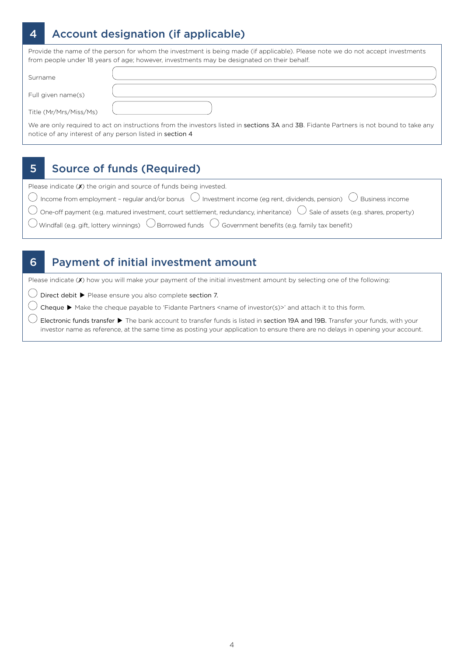# 4 Account designation (if applicable)

Provide the name of the person for whom the investment is being made (if applicable). Please note we do not accept investments from people under 18 years of age; however, investments may be designated on their behalf.

| Surname                                                  |                                                                                                                                        |
|----------------------------------------------------------|----------------------------------------------------------------------------------------------------------------------------------------|
| Full given name(s)                                       |                                                                                                                                        |
| Title (Mr/Mrs/Miss/Ms)                                   |                                                                                                                                        |
| notice of any interest of any person listed in section 4 | We are only required to act on instructions from the investors listed in sections 3A and 3B. Fidante Partners is not bound to take any |

#### 5 Source of funds (Required)

| Please indicate $(X)$ the origin and source of funds being invested.                                                                                                            |
|---------------------------------------------------------------------------------------------------------------------------------------------------------------------------------|
| $\overline{\bigcirc}$ Income from employment - regular and/or bonus $\overline{\bigcirc}$ Investment income (eg rent, dividends, pension) $\overline{\bigcirc}$ Business income |
| $\bigcirc$ One-off payment (e.g. matured investment, court settlement, redundancy, inheritance) $\bigcirc$ Sale of assets (e.g. shares, property)                               |
| O Windfall (e.g. gift, lottery winnings) $\bigcirc$ Borrowed funds $\bigcirc$ Government benefits (e.g. family tax benefit)                                                     |
|                                                                                                                                                                                 |

#### 6 Payment of initial investment amount

Please indicate  $(Y)$  how you will make your payment of the initial investment amount by selecting one of the following:

 $\bigcirc$  Direct debit  $\blacktriangleright$  Please ensure you also complete section 7.

 $\bigcirc$  Cheque  $\blacktriangleright$  Make the cheque payable to 'Fidante Partners <name of investor(s)>' and attach it to this form.

 $\bigcirc$  Electronic funds transfer  $\blacktriangleright$  The bank account to transfer funds is listed in section 19A and 19B. Transfer your funds, with your investor name as reference, at the same time as posting your application to ensure there are no delays in opening your account.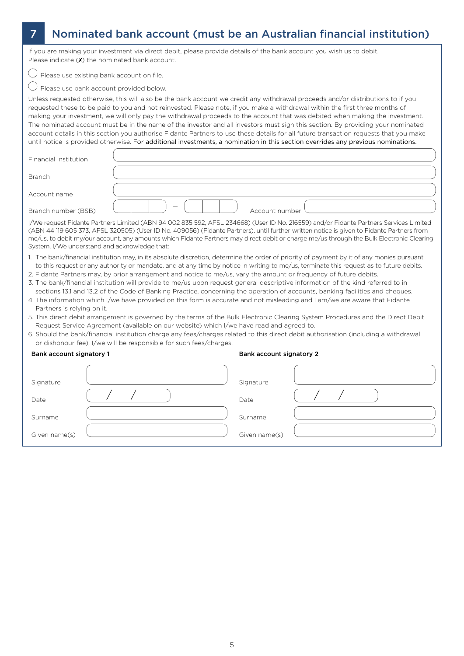# 7 Nominated bank account (must be an Australian financial institution)

If you are making your investment via direct debit, please provide details of the bank account you wish us to debit. Please indicate  $(X)$  the nominated bank account.

 $\bigcirc$  Please use existing bank account on file.

 $\bigcirc$  Please use bank account provided below.

Unless requested otherwise, this will also be the bank account we credit any withdrawal proceeds and/or distributions to if you requested these to be paid to you and not reinvested. Please note, if you make a withdrawal within the first three months of making your investment, we will only pay the withdrawal proceeds to the account that was debited when making the investment. The nominated account must be in the name of the investor and all investors must sign this section. By providing your nominated account details in this section you authorise Fidante Partners to use these details for all future transaction requests that you make until notice is provided otherwise. For additional investments, a nomination in this section overrides any previous nominations.

| Financial institution                                                                                                                                                                                                                                                                                                                                                                                                                                                           |                |  |  |
|---------------------------------------------------------------------------------------------------------------------------------------------------------------------------------------------------------------------------------------------------------------------------------------------------------------------------------------------------------------------------------------------------------------------------------------------------------------------------------|----------------|--|--|
| <b>Branch</b>                                                                                                                                                                                                                                                                                                                                                                                                                                                                   |                |  |  |
| Account name                                                                                                                                                                                                                                                                                                                                                                                                                                                                    |                |  |  |
| Branch number (BSB)                                                                                                                                                                                                                                                                                                                                                                                                                                                             | Account number |  |  |
| I/We request Fidante Partners Limited (ABN 94 002 835 592, AFSL 234668) (User ID No. 216559) and/or Fidante Partners Services Limited<br>(ABN 44 119 605 373, AFSL 320505) (User ID No. 409056) (Fidante Partners), until further written notice is given to Fidante Partners from<br>me/us, to debit my/our account, any amounts which Fidante Partners may direct debit or charge me/us through the Bulk Electronic Clearing<br>System. I/We understand and acknowledge that: |                |  |  |

- 1. The bank/financial institution may, in its absolute discretion, determine the order of priority of payment by it of any monies pursuant to this request or any authority or mandate, and at any time by notice in writing to me/us, terminate this request as to future debits.
- 2. Fidante Partners may, by prior arrangement and notice to me/us, vary the amount or frequency of future debits.
- 3. The bank/financial institution will provide to me/us upon request general descriptive information of the kind referred to in sections 13.1 and 13.2 of the Code of Banking Practice, concerning the operation of accounts, banking facilities and cheques.
- 4. The information which I/we have provided on this form is accurate and not misleading and I am/we are aware that Fidante Partners is relying on it.
- 5. This direct debit arrangement is governed by the terms of the Bulk Electronic Clearing System Procedures and the Direct Debit Request Service Agreement (available on our website) which I/we have read and agreed to.
- 6. Should the bank/financial institution charge any fees/charges related to this direct debit authorisation (including a withdrawal or dishonour fee), I/we will be responsible for such fees/charges.

| Bank account signatory 1 | Bank account signatory 2 |  |
|--------------------------|--------------------------|--|
| Signature                | Signature                |  |
| Date                     | Date                     |  |
| Surname                  | Surname                  |  |
| Given name(s)            | Given name(s)            |  |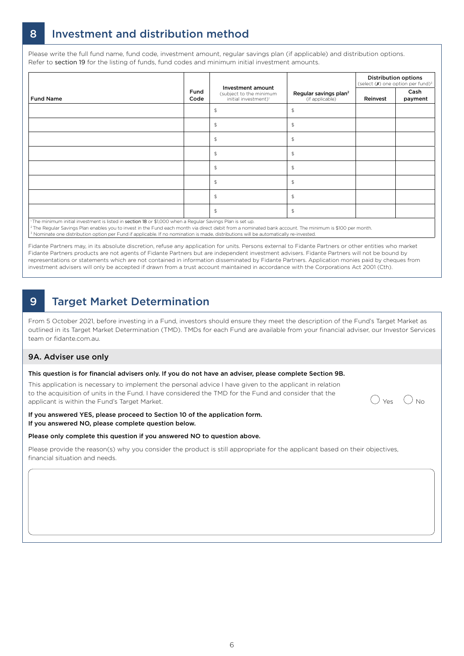# 8 Investment and distribution method

Please write the full fund name, fund code, investment amount, regular savings plan (if applicable) and distribution options. Refer to section 19 for the listing of funds, fund codes and minimum initial investment amounts.

|                                                                                                                       |              |                                                                                  |                                                      |          | <b>Distribution options</b><br>(select $(X)$ one option per fund) <sup>3</sup> |
|-----------------------------------------------------------------------------------------------------------------------|--------------|----------------------------------------------------------------------------------|------------------------------------------------------|----------|--------------------------------------------------------------------------------|
| <b>Fund Name</b>                                                                                                      | Fund<br>Code | Investment amount<br>(subject to the minimum<br>initial investment) <sup>1</sup> | Regular savings plan <sup>2</sup><br>(if applicable) | Reinvest | Cash<br>payment                                                                |
|                                                                                                                       |              | $$\mathfrak{S}$$                                                                 | \$                                                   |          |                                                                                |
|                                                                                                                       |              | $$\mathfrak{S}$$                                                                 | \$                                                   |          |                                                                                |
|                                                                                                                       |              | $\mathfrak{P}$                                                                   | \$                                                   |          |                                                                                |
|                                                                                                                       |              | $$\mathfrak{S}$$                                                                 | \$                                                   |          |                                                                                |
|                                                                                                                       |              | $\mathfrak{P}$                                                                   | \$                                                   |          |                                                                                |
|                                                                                                                       |              | $\mathfrak{P}$                                                                   | $\frac{1}{2}$                                        |          |                                                                                |
|                                                                                                                       |              | $$\mathfrak{S}$$                                                                 | \$                                                   |          |                                                                                |
|                                                                                                                       |              | $$\mathbb{S}$$                                                                   | \$                                                   |          |                                                                                |
| <sup>1</sup> The minimum initial investment is listed in section 18 or \$1,000 when a Reqular Savings Plan is set up. |              |                                                                                  |                                                      |          |                                                                                |

1 The minimum initial investment is listed in section 18 or \$1,000 when a Regular Savings Plan is set up.

2 The Regular Savings Plan enables you to invest in the Fund each month via direct debit from a nominated bank account. The minimum is \$100 per month. <sup>3</sup> Nominate one distribution option per Fund if applicable. If no nomination is made, distributions will be automatically re-invested

Fidante Partners may, in its absolute discretion, refuse any application for units. Persons external to Fidante Partners or other entities who market Fidante Partners products are not agents of Fidante Partners but are independent investment advisers. Fidante Partners will not be bound by representations or statements which are not contained in information disseminated by Fidante Partners. Application monies paid by cheques from investment advisers will only be accepted if drawn from a trust account maintained in accordance with the Corporations Act 2001 (Cth).

# 9 Target Market Determination

From 5 October 2021, before investing in a Fund, investors should ensure they meet the description of the Fund's Target Market as outlined in its Target Market Determination (TMD). TMDs for each Fund are available from your financial adviser, our Investor Services team or fidante.com.au.

#### 9A. Adviser use only

#### This question is for financial advisers only. If you do not have an adviser, please complete Section 9B.

This application is necessary to implement the personal advice I have given to the applicant in relation to the acquisition of units in the Fund. I have considered the TMD for the Fund and consider that the applicant is within the Fund's Target Market.<br>applicant is within the Fund's Target Market.

#### If you answered YES, please proceed to Section 10 of the application form. If you answered NO, please complete question below.

#### Please only complete this question if you answered NO to question above.

Please provide the reason(s) why you consider the product is still appropriate for the applicant based on their objectives, financial situation and needs.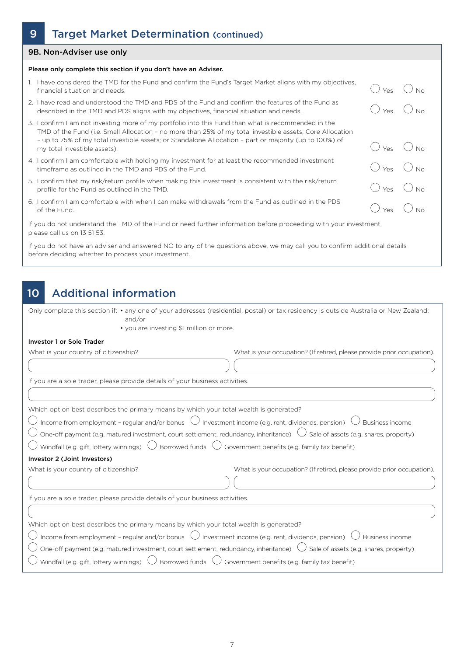### 9 Target Market Determination (continued)

#### 9B. Non-Adviser use only

#### Please only complete this section if you don't have an Adviser.

- 1. I have considered the TMD for the Fund and confirm the Fund's Target Market aligns with my objectives, Financial situation and needs.  $\bigcirc$  No No.  $\bigcirc$  and and committed randomary calged named angles matrixly objectives,  $\bigcirc$  Yes  $\bigcirc$  No.
- 2. I have read and understood the TMD and PDS of the Fund and confirm the features of the Fund as I have read and understood the TMD and PDS of the Fund and confirm the features of the Fund as<br>described in the TMD and PDS aligns with my objectives, financial situation and needs.  $\bigcirc$   $\bigcirc$   $\bigcirc$   $\bigcirc$   $\bigcirc$   $\bigcirc$   $\big$
- 3. I confirm I am not investing more of my portfolio into this Fund than what is recommended in the TMD of the Fund (i.e. Small Allocation – no more than 25% of my total investible assets; Core Allocation – up to 75% of my total investible assets; or Standalone Allocation – part or majority (up to 100%) of  $\sim$  up to 73% of my total investible assets, or standalone Allocation – part or majority (up to 100%) or  $\sim$   $\sim$   $\sim$   $\sim$   $\sim$   $\sim$  No
- 4. I confirm I am comfortable with holding my investment for at least the recommended investment I confirm I am comfortable with holding my investment for at least the recommended investment  $\bigcirc$  Yes  $\bigcirc$  No No
- 5. I confirm that my risk/return profile when making this investment is consistent with the risk/return I confirm that my risk/return profile when making this investment is consistent with the risk/return  $\bigcirc$  Yes  $\bigcirc$  No No
- 6. I confirm I am comfortable with when I can make withdrawals from the Fund as outlined in the PDS I confirm I am comfortable with when I can make withdrawals from the Fund as outlined in the PDS of the Fund.  $\bigcirc$  yes  $\bigcirc$  No

If you do not understand the TMD of the Fund or need further information before proceeding with your investment, please call us on 13 51 53.

If you do not have an adviser and answered NO to any of the questions above, we may call you to confirm additional details before deciding whether to process your investment.

### 10 Additional information

Only complete this section if: • any one of your addresses (residential, postal) or tax residency is outside Australia or New Zealand; and/or

• you are investing \$1 million or more.

#### Investor 1 or Sole Trader

| What is your country of citizenship?                                                                                                          | What is your occupation? (If retired, please provide prior occupation). |  |  |  |
|-----------------------------------------------------------------------------------------------------------------------------------------------|-------------------------------------------------------------------------|--|--|--|
|                                                                                                                                               |                                                                         |  |  |  |
| If you are a sole trader, please provide details of your business activities.                                                                 |                                                                         |  |  |  |
|                                                                                                                                               |                                                                         |  |  |  |
| Which option best describes the primary means by which your total wealth is generated?                                                        |                                                                         |  |  |  |
| $\bigcup$ Income from employment - regular and/or bonus $\bigcup$ Investment income (e.g. rent, dividends, pension) $\bigcup$ Business income |                                                                         |  |  |  |
| One-off payment (e.g. matured investment, court settlement, redundancy, inheritance) $\cup$ Sale of assets (e.g. shares, property)            |                                                                         |  |  |  |
| $^\prime$ Windfall (e.g. gift, lottery winnings) $\;\bigcirc\;$ Borrowed funds $\;\bigcirc\;$ Government benefits (e.g. family tax benefit)   |                                                                         |  |  |  |
| Investor 2 (Joint Investors)                                                                                                                  |                                                                         |  |  |  |
| What is your country of citizenship?                                                                                                          | What is your occupation? (If retired, please provide prior occupation). |  |  |  |
|                                                                                                                                               |                                                                         |  |  |  |
| If you are a sole trader, please provide details of your business activities.                                                                 |                                                                         |  |  |  |
|                                                                                                                                               |                                                                         |  |  |  |
| Which option best describes the primary means by which your total wealth is generated?                                                        |                                                                         |  |  |  |
| $\bigcirc$ Income from employment - regular and/or bonus $\bigcirc$ Investment income (e.g. rent, dividends, pension) $\bigcirc$              | $\prime$ Business income                                                |  |  |  |
| One-off payment (e.g. matured investment, court settlement, redundancy, inheritance) $\cup$ Sale of assets (e.g. shares, property)            |                                                                         |  |  |  |
| Windfall (e.g. gift, lottery winnings) $\bigcup$ Borrowed funds $\bigcup$ Government benefits (e.g. family tax benefit)                       |                                                                         |  |  |  |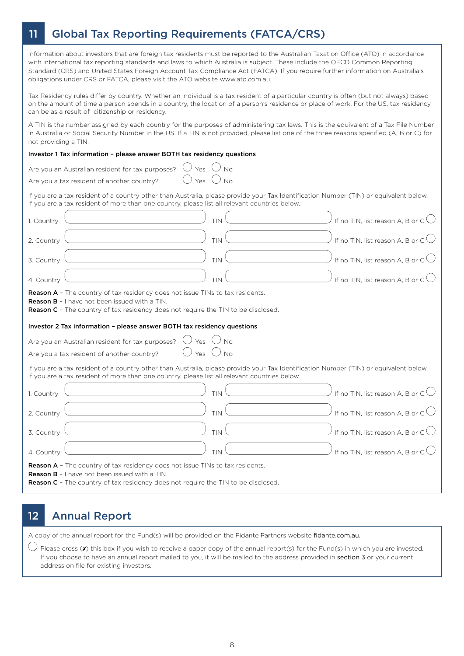# 11 Global Tax Reporting Requirements (FATCA/CRS)

Information about investors that are foreign tax residents must be reported to the Australian Taxation Office (ATO) in accordance with international tax reporting standards and laws to which Australia is subject. These include the OECD Common Reporting Standard (CRS) and United States Foreign Account Tax Compliance Act (FATCA). If you require further information on Australia's obligations under CRS or FATCA, please visit the ATO website www.ato.com.au.

Tax Residency rules differ by country. Whether an individual is a tax resident of a particular country is often (but not always) based on the amount of time a person spends in a country, the location of a person's residence or place of work. For the US, tax residency can be as a result of citizenship or residency.

A TIN is the number assigned by each country for the purposes of administering tax laws. This is the equivalent of a Tax File Number in Australia or Social Security Number in the US. If a TIN is not provided, please list one of the three reasons specified (A, B or C) for not providing a TIN.

#### Investor 1 Tax information – please answer BOTH tax residency questions

| Yes<br>No<br>Are you an Australian resident for tax purposes?                                                                                                                                                                                                                                                |
|--------------------------------------------------------------------------------------------------------------------------------------------------------------------------------------------------------------------------------------------------------------------------------------------------------------|
| Yes $\bigcup$ No<br>Are you a tax resident of another country?                                                                                                                                                                                                                                               |
| If you are a tax resident of a country other than Australia, please provide your Tax Identification Number (TIN) or equivalent below.<br>If you are a tax resident of more than one country, please list all relevant countries below.                                                                       |
| If no TIN, list reason A, B or $C$ $\bigcup$<br>TIN<br>1. Country                                                                                                                                                                                                                                            |
| If no TIN, list reason A, B or $C \bigcup$<br>TIN<br>2. Country                                                                                                                                                                                                                                              |
| If no TIN, list reason A, B or $C \cup$<br><b>TIN</b><br>3. Country                                                                                                                                                                                                                                          |
| If no TIN, list reason A, B or $C \cup$<br>4. Country<br>TIN                                                                                                                                                                                                                                                 |
| <b>Reason A</b> - The country of tax residency does not issue TINs to tax residents.<br>Reason B - I have not been issued with a TIN.<br><b>Reason C</b> - The country of tax residency does not require the TIN to be disclosed.<br>Investor 2 Tax information - please answer BOTH tax residency questions |
|                                                                                                                                                                                                                                                                                                              |
| Yes $\cup$ No<br>Are you an Australian resident for tax purposes?                                                                                                                                                                                                                                            |
| Yes $\bigcup$ No<br>Are you a tax resident of another country?                                                                                                                                                                                                                                               |
| If you are a tax resident of a country other than Australia, please provide your Tax Identification Number (TIN) or equivalent below.<br>If you are a tax resident of more than one country, please list all relevant countries below.                                                                       |
| If no TIN, list reason A, B or $C \bigcup$<br>1. Country<br>TIN                                                                                                                                                                                                                                              |
| If no TIN, list reason A, B or $C \cup$<br>TIN<br>2. Country                                                                                                                                                                                                                                                 |
| If no TIN, list reason A, B or $\mathsf{C}\bigcup$<br>TIN<br>3. Country                                                                                                                                                                                                                                      |
| If no TIN, list reason A, B or $C \bigcup$<br><b>TIN</b><br>4. Country                                                                                                                                                                                                                                       |
| <b>Reason A</b> - The country of tax residency does not issue TINs to tax residents.<br><b>Reason B</b> - I have not been issued with a TIN.<br><b>Reason C</b> - The country of tax residency does not require the TIN to be disclosed.                                                                     |

### 12 Annual Report

A copy of the annual report for the Fund(s) will be provided on the Fidante Partners website fidante.com.au.

 $\bigcup$  Please cross (X) this box if you wish to receive a paper copy of the annual report(s) for the Fund(s) in which you are invested. If you choose to have an annual report mailed to you, it will be mailed to the address provided in section 3 or your current address on file for existing investors.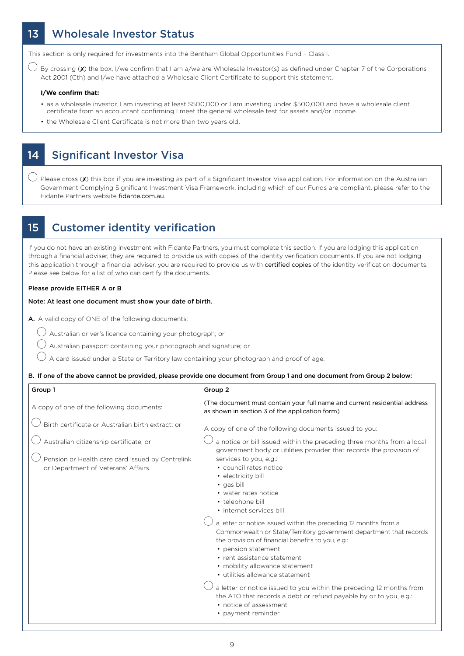### 13 Wholesale Investor Status

This section is only required for investments into the Bentham Global Opportunities Fund – Class I.

 $\bigcup$  By crossing (X) the box, I/we confirm that I am a/we are Wholesale Investor(s) as defined under Chapter 7 of the Corporations Act 2001 (Cth) and I/we have attached a Wholesale Client Certificate to support this statement.

#### **I/We confirm that:**

- as a wholesale investor, I am investing at least \$500,000 or I am investing under \$500,000 and have a wholesale client certificate from an accountant confirming I meet the general wholesale test for assets and/or Income.
- the Wholesale Client Certificate is not more than two years old.

#### 14 Significant Investor Visa

 $\bigcirc$  Please cross (X) this box if you are investing as part of a Significant Investor Visa application. For information on the Australian Government Complying Significant Investment Visa Framework, including which of our Funds are compliant, please refer to the Fidante Partners website fidante.com.au.

#### 15 Customer identity verification

If you do not have an existing investment with Fidante Partners, you must complete this section. If you are lodging this application through a financial adviser, they are required to provide us with copies of the identity verification documents. If you are not lodging this application through a financial adviser, you are required to provide us with certified copies of the identity verification documents. Please see below for a list of who can certify the documents.

#### Please provide EITHER A or B

#### Note: At least one document must show your date of birth.

A. A valid copy of ONE of the following documents:

- Australian driver's licence containing your photograph; or
- Australian passport containing your photograph and signature; or
- A card issued under a State or Territory law containing your photograph and proof of age.

#### B. If one of the above cannot be provided, please provide one document from Group 1 and one document from Group 2 below:

| Group 1                                                                                                                                                                                | Group 2                                                                                                                                                                                                                                                                                                                                                                                                                                                                                                                                                                                                                                                                                                                                                                   |
|----------------------------------------------------------------------------------------------------------------------------------------------------------------------------------------|---------------------------------------------------------------------------------------------------------------------------------------------------------------------------------------------------------------------------------------------------------------------------------------------------------------------------------------------------------------------------------------------------------------------------------------------------------------------------------------------------------------------------------------------------------------------------------------------------------------------------------------------------------------------------------------------------------------------------------------------------------------------------|
| A copy of one of the following documents:                                                                                                                                              | (The document must contain your full name and current residential address<br>as shown in section 3 of the application form)                                                                                                                                                                                                                                                                                                                                                                                                                                                                                                                                                                                                                                               |
| Birth certificate or Australian birth extract; or<br>Australian citizenship certificate; or<br>Pension or Health care card issued by Centrelink<br>or Department of Veterans' Affairs. | A copy of one of the following documents issued to you:<br>a notice or bill issued within the preceding three months from a local<br>government body or utilities provider that records the provision of<br>services to you, e.g.:<br>• council rates notice<br>· electricity bill<br>• gas bill<br>• water rates notice<br>• telephone bill<br>· internet services bill<br>a letter or notice issued within the preceding 12 months from a<br>Commonwealth or State/Territory government department that records<br>the provision of financial benefits to you, e.g.:<br>• pension statement<br>• rent assistance statement<br>• mobility allowance statement<br>• utilities allowance statement<br>a letter or notice issued to you within the preceding 12 months from |
|                                                                                                                                                                                        | the ATO that records a debt or refund payable by or to you, e.g.:<br>• notice of assessment<br>• payment reminder                                                                                                                                                                                                                                                                                                                                                                                                                                                                                                                                                                                                                                                         |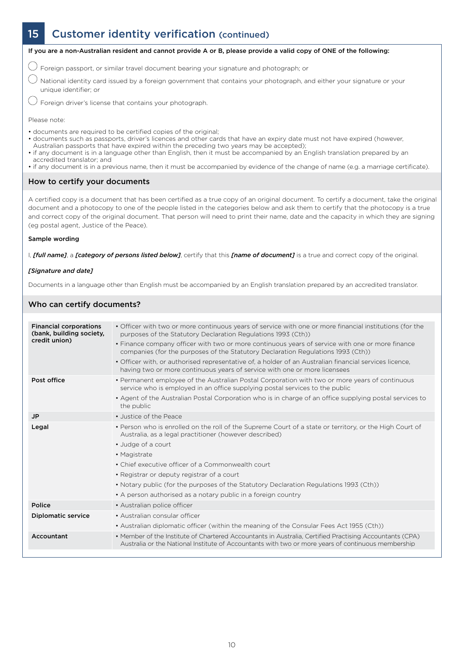# 15 Customer identity verification (continued)



If you are a non-Australian resident and cannot provide A or B, please provide a valid copy of ONE of the following:

 $\bigcirc$  Foreign passport, or similar travel document bearing your signature and photograph; or

 $\bigcirc$  National identity card issued by a foreign government that contains your photograph, and either your signature or your unique identifier; or

 $\bigcirc$  Foreign driver's license that contains your photograph.

Please note:

- documents are required to be certified copies of the original;
- documents such as passports, driver's licences and other cards that have an expiry date must not have expired (however,
- Australian passports that have expired within the preceding two years may be accepted); • if any document is in a language other than English, then it must be accompanied by an English translation prepared by an accredited translator; and
- if any document is in a previous name, then it must be accompanied by evidence of the change of name (e.g. a marriage certificate).

#### How to certify your documents

A certified copy is a document that has been certified as a true copy of an original document. To certify a document, take the original document and a photocopy to one of the people listed in the categories below and ask them to certify that the photocopy is a true and correct copy of the original document. That person will need to print their name, date and the capacity in which they are signing (eg postal agent, Justice of the Peace).

#### Sample wording

I, *[full name]*, a *[category of persons listed below]*, certify that this *[name of document]* is a true and correct copy of the original.

#### *[Signature and date]*

Documents in a language other than English must be accompanied by an English translation prepared by an accredited translator.

#### Who can certify documents?

| <b>Financial corporations</b><br>(bank, building society,<br>credit union) | • Officer with two or more continuous years of service with one or more financial institutions (for the<br>purposes of the Statutory Declaration Regulations 1993 (Cth))<br>• Finance company officer with two or more continuous years of service with one or more finance<br>companies (for the purposes of the Statutory Declaration Regulations 1993 (Cth)) |
|----------------------------------------------------------------------------|-----------------------------------------------------------------------------------------------------------------------------------------------------------------------------------------------------------------------------------------------------------------------------------------------------------------------------------------------------------------|
|                                                                            | . Officer with, or authorised representative of, a holder of an Australian financial services licence,<br>having two or more continuous years of service with one or more licensees                                                                                                                                                                             |
| Post office                                                                | • Permanent employee of the Australian Postal Corporation with two or more years of continuous<br>service who is employed in an office supplying postal services to the public                                                                                                                                                                                  |
|                                                                            | • Agent of the Australian Postal Corporation who is in charge of an office supplying postal services to<br>the public                                                                                                                                                                                                                                           |
| <b>JP</b>                                                                  | • Justice of the Peace                                                                                                                                                                                                                                                                                                                                          |
| Legal                                                                      | • Person who is enrolled on the roll of the Supreme Court of a state or territory, or the High Court of<br>Australia, as a legal practitioner (however described)<br>• Judge of a court<br>• Magistrate<br>• Chief executive officer of a Commonwealth court                                                                                                    |
|                                                                            | • Registrar or deputy registrar of a court                                                                                                                                                                                                                                                                                                                      |
|                                                                            | • Notary public (for the purposes of the Statutory Declaration Regulations 1993 (Cth))                                                                                                                                                                                                                                                                          |
|                                                                            | • A person authorised as a notary public in a foreign country                                                                                                                                                                                                                                                                                                   |
| Police                                                                     | • Australian police officer                                                                                                                                                                                                                                                                                                                                     |
| <b>Diplomatic service</b>                                                  | • Australian consular officer                                                                                                                                                                                                                                                                                                                                   |
|                                                                            | • Australian diplomatic officer (within the meaning of the Consular Fees Act 1955 (Cth))                                                                                                                                                                                                                                                                        |
| Accountant                                                                 | • Member of the Institute of Chartered Accountants in Australia, Certified Practising Accountants (CPA)<br>Australia or the National Institute of Accountants with two or more years of continuous membership                                                                                                                                                   |
|                                                                            |                                                                                                                                                                                                                                                                                                                                                                 |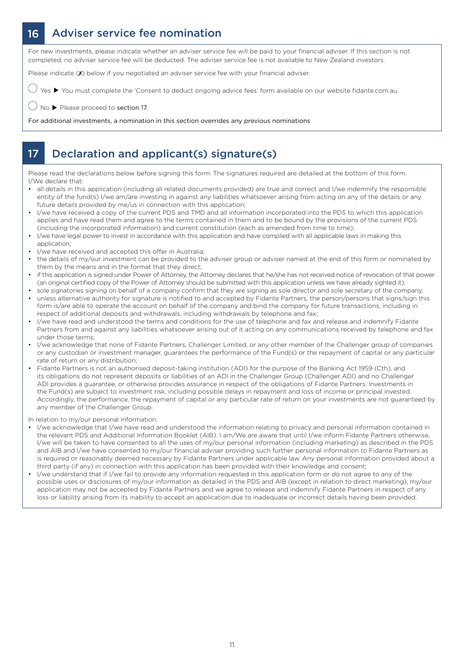### 16 Adviser service fee nomination

For new investments, please indicate whether an adviser service fee will be paid to your financial adviser. If this section is not completed, no adviser service fee will be deducted. The adviser service fee is not available to New Zealand investors.

Please indicate (X) below if you negotiated an adviser service fee with your financial adviser.

 $\bigcirc$  Yes  $\blacktriangleright$  You must complete the 'Consent to deduct ongoing advice fees' form available on our website fidante.com.au.

 $\bigcirc$  No  $\blacktriangleright$  Please proceed to section 17.

For additional investments, a nomination in this section overrides any previous nominations

### 17 Declaration and applicant(s) signature(s)

Please read the declarations below before signing this form. The signatures required are detailed at the bottom of this form. I/We declare that:

- all details in this application (including all related documents provided) are true and correct and I/we indemnify the responsible entity of the fund(s) I/we am/are investing in against any liabilities whatsoever arising from acting on any of the details or any future details provided by me/us in connection with this application;
- I/we have received a copy of the current PDS and TMD and all information incorporated into the PDS to which this application applies and have read them and agree to the terms contained in them and to be bound by the provisions of the current PDS (including the incorporated information) and current constitution (each as amended from time to time);
- I/we have legal power to invest in accordance with this application and have complied with all applicable laws in making this application;
- I/we have received and accepted this offer in Australia;
- the details of my/our investment can be provided to the adviser group or adviser named at the end of this form or nominated by them by the means and in the format that they direct;
- if this application is signed under Power of Attorney, the Attorney declares that he/she has not received notice of revocation of that power (an original certified copy of the Power of Attorney should be submitted with this application unless we have already sighted it);
- sole signatories signing on behalf of a company confirm that they are signing as sole director and sole secretary of the company; • unless alternative authority for signature is notified to and accepted by Fidante Partners, the person/persons that signs/sign this form is/are able to operate the account on behalf of the company and bind the company for future transactions, including in respect of additional deposits and withdrawals, including withdrawals by telephone and fax;
- I/we have read and understood the terms and conditions for the use of telephone and fax and release and indemnify Fidante Partners from and against any liabilities whatsoever arising out of it acting on any communications received by telephone and fax under those terms;
- I/we acknowledge that none of Fidante Partners, Challenger Limited, or any other member of the Challenger group of companies or any custodian or investment manager, guarantees the performance of the Fund(s) or the repayment of capital or any particular rate of return or any distribution;
- Fidante Partners is not an authorised deposit-taking institution (ADI) for the purpose of the Banking Act 1959 (Cth), and its obligations do not represent deposits or liabilities of an ADI in the Challenger Group (Challenger ADI) and no Challenger ADI provides a guarantee, or otherwise provides assurance in respect of the obligations of Fidante Partners. Investments in the Fund(s) are subject to investment risk, including possible delays in repayment and loss of income or principal invested. Accordingly, the performance, the repayment of capital or any particular rate of return on your investments are not guaranteed by any member of the Challenger Group.

In relation to my/our personal information:

- I/we acknowledge that I/we have read and understood the information relating to privacy and personal information contained in the relevant PDS and Additional Information Booklet (AIB). I am/We are aware that until I/we inform Fidante Partners otherwise, I/we will be taken to have consented to all the uses of my/our personal information (including marketing) as described in the PDS and AIB and I/we have consented to my/our financial adviser providing such further personal information to Fidante Partners as is required or reasonably deemed necessary by Fidante Partners under applicable law. Any personal information provided about a third party (if any) in connection with this application has been provided with their knowledge and consent;
- I/we understand that if I/we fail to provide any information requested in this application form or do not agree to any of the possible uses or disclosures of my/our information as detailed in the PDS and AIB (except in relation to direct marketing), my/our application may not be accepted by Fidante Partners and we agree to release and indemnify Fidante Partners in respect of any loss or liability arising from its inability to accept an application due to inadequate or incorrect details having been provided.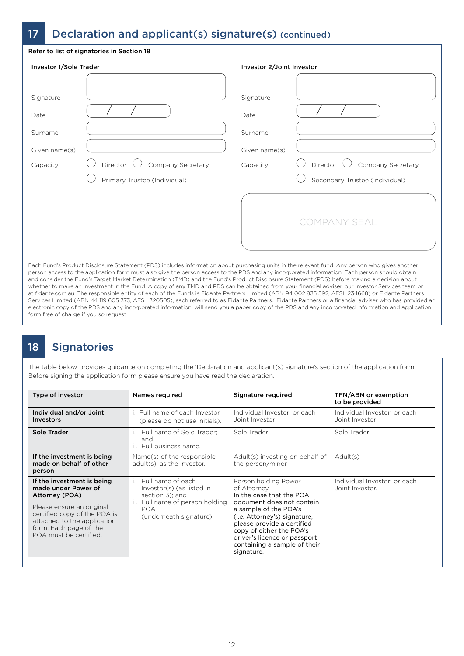### 17 Declaration and applicant(s) signature(s) (continued)

| <b>Investor 1/Sole Trader</b> |                                      | Investor 2/Joint Investor    |                                      |  |
|-------------------------------|--------------------------------------|------------------------------|--------------------------------------|--|
| Signature<br>Date<br>Surname  |                                      | Signature<br>Date<br>Surname |                                      |  |
| Given name(s)                 |                                      | Given name(s)                |                                      |  |
| Capacity                      | Director $\bigcup$ Company Secretary | Capacity                     | Director $\bigcup$ Company Secretary |  |
|                               | Primary Trustee (Individual)         |                              | Secondary Trustee (Individual)       |  |
|                               |                                      |                              | <b>COMPANY SEAL</b>                  |  |

er the Fund's Target Market Determination (TMD) and the Fund's Product Disclosure Statement (PDS) before making a dec whether to make an investment in the Fund. A copy of any TMD and PDS can be obtained from your financial adviser, our Investor Services team or at fidante.com.au. The responsible entity of each of the Funds is Fidante Partners Limited (ABN 94 002 835 592, AFSL 234668) or Fidante Partners Services Limited (ABN 44 119 605 373, AFSL 320505), each referred to as Fidante Partners. Fidante Partners or a financial adviser who has provided an electronic copy of the PDS and any incorporated information, will send you a paper copy of the PDS and any incorporated information and application form free of charge if you so request

# 18 Signatories

The table below provides guidance on completing the 'Declaration and applicant(s) signature's section of the application form. Before signing the application form please ensure you have read the declaration.

| Type of investor                                                                                                                                                                                                    | Names required                                                                                                                                         | Signature required                                                                                                                                                                                                                                                                            | <b>TFN/ABN or exemption</b><br>to be provided   |
|---------------------------------------------------------------------------------------------------------------------------------------------------------------------------------------------------------------------|--------------------------------------------------------------------------------------------------------------------------------------------------------|-----------------------------------------------------------------------------------------------------------------------------------------------------------------------------------------------------------------------------------------------------------------------------------------------|-------------------------------------------------|
| Individual and/or Joint<br><b>Investors</b>                                                                                                                                                                         | i. Full name of each Investor<br>(please do not use initials).                                                                                         | Individual Investor; or each<br>Joint Investor                                                                                                                                                                                                                                                | Individual Investor; or each<br>Joint Investor  |
| Sole Trader                                                                                                                                                                                                         | Full name of Sole Trader:<br>$\mathbf{L}$<br>and<br>ii. Full business name.                                                                            | Sole Trader                                                                                                                                                                                                                                                                                   | Sole Trader                                     |
| If the investment is being<br>made on behalf of other<br>person                                                                                                                                                     | Name(s) of the responsible<br>adult(s), as the Investor.                                                                                               | Adult(s) investing on behalf of<br>the person/minor                                                                                                                                                                                                                                           | Adult(s)                                        |
| If the investment is being<br>made under Power of<br>Attorney (POA)<br>Please ensure an original<br>certified copy of the POA is<br>attached to the application<br>form. Each page of the<br>POA must be certified. | Full name of each<br>$\mathbf{1}$<br>Investor(s) (as listed in<br>section 3); and<br>ii. Full name of person holding<br>POA<br>(underneath signature). | Person holding Power<br>of Attorney<br>In the case that the POA<br>document does not contain<br>a sample of the POA's<br>(i.e. Attorney's) signature,<br>please provide a certified<br>copy of either the POA's<br>driver's licence or passport<br>containing a sample of their<br>signature. | Individual Investor; or each<br>Joint Investor. |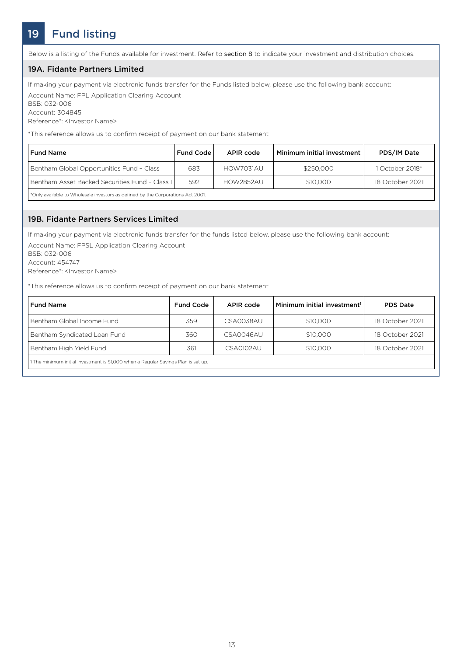# 19 Fund listing

Below is a listing of the Funds available for investment. Refer to section 8 to indicate your investment and distribution choices.

#### 19A. Fidante Partners Limited

If making your payment via electronic funds transfer for the Funds listed below, please use the following bank account: Account Name: FPL Application Clearing Account

BSB: 032-006 Account: 304845

Reference\*: <Investor Name>

\*This reference allows us to confirm receipt of payment on our bank statement

| <b>Fund Name</b>                               | <b>Fund Code</b> | APIR code        | Minimum initial investment | PDS/IM Date     |
|------------------------------------------------|------------------|------------------|----------------------------|-----------------|
| Bentham Global Opportunities Fund - Class I    | 683              | HOW7031AU        | \$250.000                  | 1 October 2018* |
| Bentham Asset Backed Securities Fund - Class L | 592              | <b>HOW2852AU</b> | \$10,000                   | 18 October 2021 |

\*Only available to Wholesale investors as defined by the Corporations Act 2001.

#### 19B. Fidante Partners Services Limited

If making your payment via electronic funds transfer for the funds listed below, please use the following bank account: Account Name: FPSL Application Clearing Account

BSB: 032-006

Account: 454747

Reference\*: <Investor Name>

\*This reference allows us to confirm receipt of payment on our bank statement

| <b>Fund Name</b>                                                                   | <b>Fund Code</b> | APIR code        | Minimum initial investment <sup>1</sup> | <b>PDS Date</b> |
|------------------------------------------------------------------------------------|------------------|------------------|-----------------------------------------|-----------------|
| Bentham Global Income Fund                                                         | 359              | CSA0038AU        | \$10,000                                | 18 October 2021 |
| Bentham Syndicated Loan Fund                                                       | 360              | CSA0046AU        | \$10,000                                | 18 October 2021 |
| Bentham High Yield Fund                                                            | 361              | <b>CSA0102AU</b> | \$10,000                                | 18 October 2021 |
| 1 The minimum initial investment is \$1,000 when a Regular Savings Plan is set up. |                  |                  |                                         |                 |